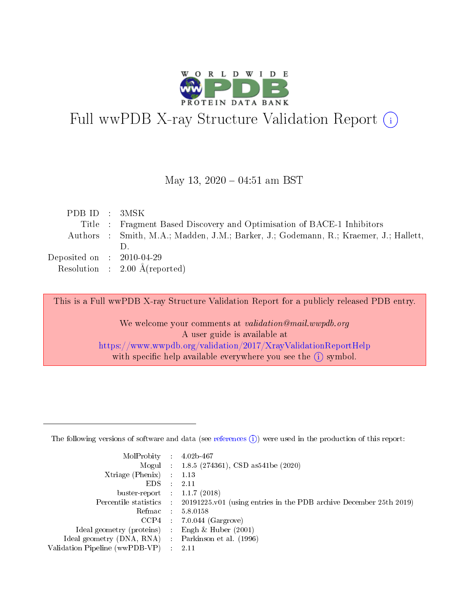

# Full wwPDB X-ray Structure Validation Report (i)

#### May 13,  $2020 - 04:51$  am BST

| PDB ID : 3MSK                        |                                                                                      |
|--------------------------------------|--------------------------------------------------------------------------------------|
|                                      | Title : Fragment Based Discovery and Optimisation of BACE-1 Inhibitors               |
|                                      | Authors : Smith, M.A.; Madden, J.M.; Barker, J.; Godemann, R.; Kraemer, J.; Hallett, |
|                                      |                                                                                      |
| Deposited on $\therefore$ 2010-04-29 |                                                                                      |
|                                      | Resolution : $2.00 \text{ Å}$ (reported)                                             |

This is a Full wwPDB X-ray Structure Validation Report for a publicly released PDB entry.

We welcome your comments at validation@mail.wwpdb.org A user guide is available at <https://www.wwpdb.org/validation/2017/XrayValidationReportHelp> with specific help available everywhere you see the  $(i)$  symbol.

The following versions of software and data (see [references](https://www.wwpdb.org/validation/2017/XrayValidationReportHelp#references)  $(1)$ ) were used in the production of this report:

| MolProbity :                   |               | $4.02b - 467$                                                               |
|--------------------------------|---------------|-----------------------------------------------------------------------------|
|                                |               | Mogul : $1.8.5$ (274361), CSD as 541be (2020)                               |
| Xtriage (Phenix)               | $\mathcal{L}$ | 1.13                                                                        |
| EDS.                           |               | 2.11                                                                        |
| buster-report : $1.1.7$ (2018) |               |                                                                             |
| Percentile statistics :        |               | $20191225 \text{v}01$ (using entries in the PDB archive December 25th 2019) |
| Refmac :                       |               | 5.8.0158                                                                    |
| CCP4                           |               | $7.0.044$ (Gargrove)                                                        |
| Ideal geometry (proteins) :    |               | Engh $\&$ Huber (2001)                                                      |
| Ideal geometry (DNA, RNA) :    |               | Parkinson et al. (1996)                                                     |
| Validation Pipeline (wwPDB-VP) | $\mathcal{L}$ | 2.11                                                                        |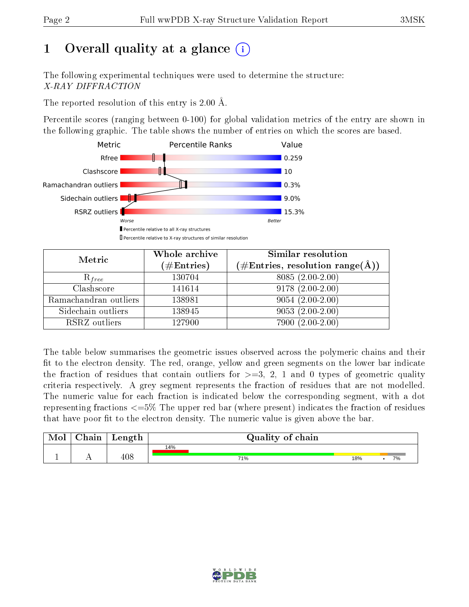# 1 [O](https://www.wwpdb.org/validation/2017/XrayValidationReportHelp#overall_quality)verall quality at a glance  $(i)$

The following experimental techniques were used to determine the structure: X-RAY DIFFRACTION

The reported resolution of this entry is 2.00 Å.

Percentile scores (ranging between 0-100) for global validation metrics of the entry are shown in the following graphic. The table shows the number of entries on which the scores are based.



| Metric                | Whole archive        | Similar resolution                                                     |
|-----------------------|----------------------|------------------------------------------------------------------------|
|                       | $(\#\text{Entries})$ | $(\#\text{Entries},\,\text{resolution}\,\,\text{range}(\textup{\AA}))$ |
| $R_{free}$            | 130704               | $8085(2.00-2.00)$                                                      |
| Clashscore            | 141614               | $9178(2.00-2.00)$                                                      |
| Ramachandran outliers | 138981               | $9054(2.00-2.00)$                                                      |
| Sidechain outliers    | 138945               | $9053(2.00-2.00)$                                                      |
| RSRZ outliers         | 127900               | $7900(2.00-2.00)$                                                      |

The table below summarises the geometric issues observed across the polymeric chains and their fit to the electron density. The red, orange, yellow and green segments on the lower bar indicate the fraction of residues that contain outliers for  $>=3, 2, 1$  and 0 types of geometric quality criteria respectively. A grey segment represents the fraction of residues that are not modelled. The numeric value for each fraction is indicated below the corresponding segment, with a dot representing fractions  $\epsilon=5\%$  The upper red bar (where present) indicates the fraction of residues that have poor fit to the electron density. The numeric value is given above the bar.

| Mol       | $\Delta$ hain | Length | Quality of chain |     |  |    |  |  |  |
|-----------|---------------|--------|------------------|-----|--|----|--|--|--|
|           |               |        | 14%              |     |  |    |  |  |  |
| <u>д.</u> | . .           | 408    | 71%              | 18% |  | 7% |  |  |  |

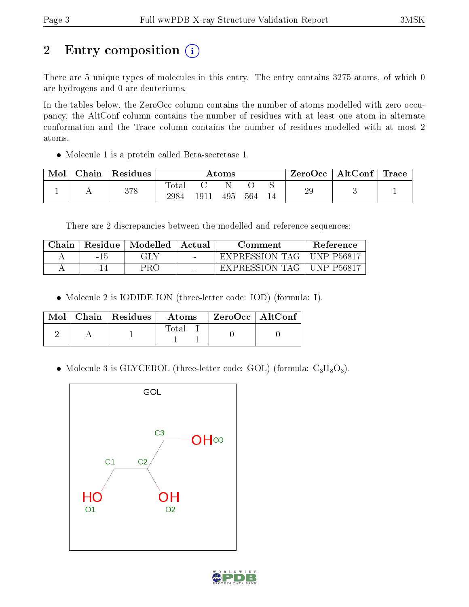# 2 Entry composition (i)

There are 5 unique types of molecules in this entry. The entry contains 3275 atoms, of which 0 are hydrogens and 0 are deuteriums.

In the tables below, the ZeroOcc column contains the number of atoms modelled with zero occupancy, the AltConf column contains the number of residues with at least one atom in alternate conformation and the Trace column contains the number of residues modelled with at most 2 atoms.

Molecule 1 is a protein called Beta-secretase 1.

| Mol | Chain | Residues | $\rm{Atoms}$        |      |     | $\text{ZeroOcc} \mid \text{AltConf} \mid$ | $\operatorname{Trace} \mid$ |    |  |
|-----|-------|----------|---------------------|------|-----|-------------------------------------------|-----------------------------|----|--|
|     |       | 378      | $\rm Total$<br>2984 | 1911 | 495 | 564                                       |                             | 29 |  |

There are 2 discrepancies between the modelled and reference sequences:

| Chain |      | Residue   Modelled | Actual | Comment                     | <b>Reference</b> |
|-------|------|--------------------|--------|-----------------------------|------------------|
|       | -15  | GLY                |        | EXPRESSION TAG   UNP P56817 |                  |
|       | - 14 | PRO                |        | EXPRESSION TAG              | UNP P56817       |

Molecule 2 is IODIDE ION (three-letter code: IOD) (formula: I).

|  | $\overline{\text{Mol}} \parallel \text{Chain} \parallel \text{Residues} \parallel$ | Atoms  | $\rm ZeroOcc$   AltConf |  |
|--|------------------------------------------------------------------------------------|--------|-------------------------|--|
|  |                                                                                    | l'ota' |                         |  |

• Molecule 3 is GLYCEROL (three-letter code: GOL) (formula:  $C_3H_8O_3$ ).



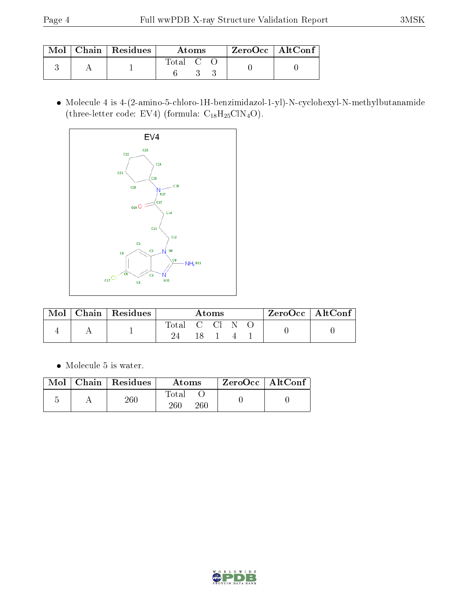|  | $\text{Mol}$   Chain   Residues | Atoms     | $ZeroOcc \mid AltConf$ |  |
|--|---------------------------------|-----------|------------------------|--|
|  |                                 | Total C O |                        |  |

 Molecule 4 is 4-(2-amino-5-chloro-1H-benzimidazol-1-yl)-N-cyclohexyl-N-methylbutanamide (three-letter code: EV4) (formula:  $C_{18}H_{25}CIN_4O$ ).



| Mol | Chain   Residues | Atoms          |  |  |  | $\mathsf{ZeroOcc} \mid \mathsf{AltConf} \mid$ |  |  |
|-----|------------------|----------------|--|--|--|-----------------------------------------------|--|--|
|     |                  | Total C Cl N O |  |  |  |                                               |  |  |
|     |                  |                |  |  |  |                                               |  |  |

Molecule 5 is water.

|  | $Mol$   Chain   Residues | Atoms                     | $ZeroOcc \   \$ AltConf |
|--|--------------------------|---------------------------|-------------------------|
|  | $260\,$                  | $\rm Total$<br>260<br>260 |                         |

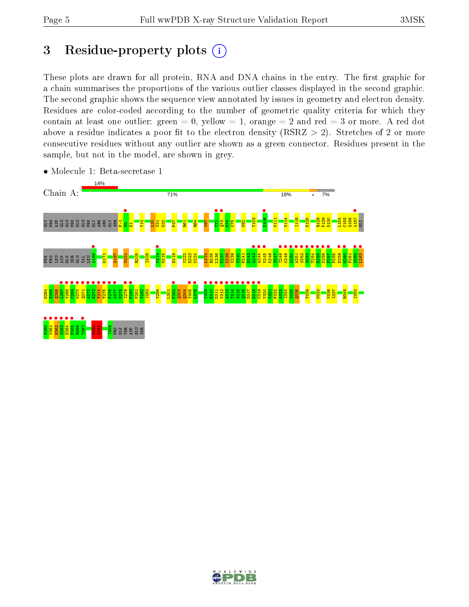## 3 Residue-property plots  $(i)$

These plots are drawn for all protein, RNA and DNA chains in the entry. The first graphic for a chain summarises the proportions of the various outlier classes displayed in the second graphic. The second graphic shows the sequence view annotated by issues in geometry and electron density. Residues are color-coded according to the number of geometric quality criteria for which they contain at least one outlier: green  $= 0$ , yellow  $= 1$ , orange  $= 2$  and red  $= 3$  or more. A red dot above a residue indicates a poor fit to the electron density (RSRZ  $> 2$ ). Stretches of 2 or more consecutive residues without any outlier are shown as a green connector. Residues present in the sample, but not in the model, are shown in grey.



• Molecule 1: Beta-secretase 1

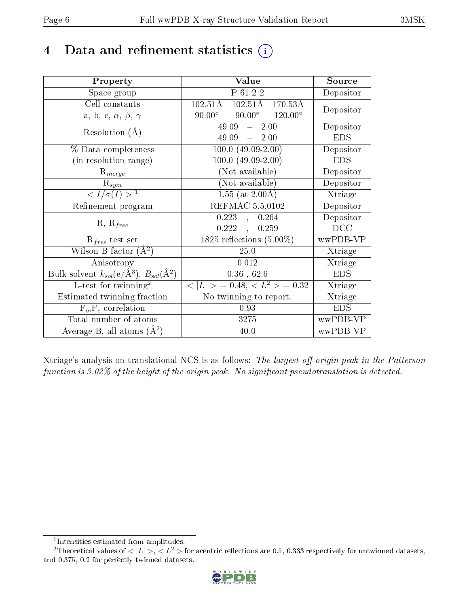# 4 Data and refinement statistics  $(i)$

| Property                                                         | Value                                                                | Source                       |
|------------------------------------------------------------------|----------------------------------------------------------------------|------------------------------|
| Space group                                                      | $P$ 61 2 2                                                           | Depositor                    |
| Cell constants                                                   | $102.51\text{\AA}$<br>$102.51\text{\AA}$<br>$170.53\overline{\rm A}$ | Depositor                    |
| a, b, c, $\alpha$ , $\beta$ , $\gamma$                           | $90.00^\circ$<br>$90.00^\circ$<br>$120.00^\circ$                     |                              |
| Resolution $(A)$                                                 | 49.09<br>2.00<br>$\frac{1}{2}$                                       | Depositor                    |
|                                                                  | 49.09<br>$-2.00$                                                     | <b>EDS</b>                   |
| % Data completeness                                              | $100.0 (49.09 - 2.00)$                                               | Depositor                    |
| (in resolution range)                                            | $100.0 (49.09 - 2.00)$                                               | <b>EDS</b>                   |
| $R_{merge}$                                                      | (Not available)                                                      | Depositor                    |
| $\mathrm{R}_{sym}$                                               | (Not available)                                                      | Depositor                    |
| $\langle I/\sigma(I) \rangle^{-1}$                               | $1.55$ (at $2.00\text{\AA}$ )                                        | $\overline{\text{X}}$ triage |
| Refinement program                                               | <b>REFMAC 5.5.0102</b>                                               | Depositor                    |
| $R, R_{free}$                                                    | $0.223$ ,<br>0.264                                                   | Depositor                    |
|                                                                  | 0.222<br>0.259                                                       | DCC                          |
| $R_{free}$ test set                                              | $\overline{1825}$ reflections $(5.00\%)$                             | wwPDB-VP                     |
| Wilson B-factor $(A^2)$                                          | 25.0                                                                 | Xtriage                      |
| Anisotropy                                                       | 0.012                                                                | Xtriage                      |
| Bulk solvent $k_{sol}(\text{e}/\text{A}^3), B_{sol}(\text{A}^2)$ | $0.36$ , 62.6                                                        | <b>EDS</b>                   |
| L-test for twinning <sup>2</sup>                                 | $< L >$ = 0.48, $< L^2 >$ = 0.32                                     | Xtriage                      |
| Estimated twinning fraction                                      | No twinning to report.                                               | Xtriage                      |
| $\overline{F_o}, \overline{F_c}$ correlation                     | 0.93                                                                 | <b>EDS</b>                   |
| Total number of atoms                                            | 3275                                                                 | wwPDB-VP                     |
| Average B, all atoms $(A^2)$                                     | 40.0                                                                 | wwPDB-VP                     |

Xtriage's analysis on translational NCS is as follows: The largest off-origin peak in the Patterson function is  $3.02\%$  of the height of the origin peak. No significant pseudotranslation is detected.

<sup>&</sup>lt;sup>2</sup>Theoretical values of  $\langle |L| \rangle$ ,  $\langle L^2 \rangle$  for acentric reflections are 0.5, 0.333 respectively for untwinned datasets, and 0.375, 0.2 for perfectly twinned datasets.



<span id="page-5-1"></span><span id="page-5-0"></span><sup>1</sup> Intensities estimated from amplitudes.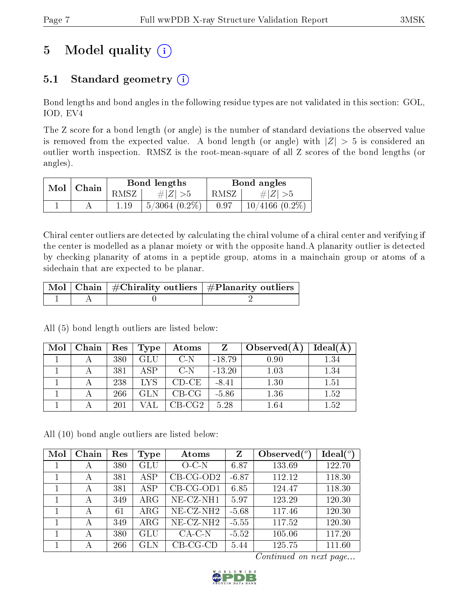# 5 Model quality  $(i)$

## 5.1 Standard geometry  $(i)$

Bond lengths and bond angles in the following residue types are not validated in this section: GOL, IOD, EV4

The Z score for a bond length (or angle) is the number of standard deviations the observed value is removed from the expected value. A bond length (or angle) with  $|Z| > 5$  is considered an outlier worth inspection. RMSZ is the root-mean-square of all Z scores of the bond lengths (or angles).

| $Mol$ | $\mid$ Chain |      | Bond lengths     | Bond angles |                     |  |
|-------|--------------|------|------------------|-------------|---------------------|--|
|       |              | RMSZ | $\# Z  > 5$      | RMSZ 1      | # $ Z  > 5$         |  |
|       |              |      | $+5/3064(0.2\%)$ | 0.97        | $10/4166$ $(0.2\%)$ |  |

Chiral center outliers are detected by calculating the chiral volume of a chiral center and verifying if the center is modelled as a planar moiety or with the opposite hand.A planarity outlier is detected by checking planarity of atoms in a peptide group, atoms in a mainchain group or atoms of a sidechain that are expected to be planar.

|  | $\mid$ Mol $\mid$ Chain $\mid$ #Chirality outliers $\mid$ #Planarity outliers $\mid$ |
|--|--------------------------------------------------------------------------------------|
|  |                                                                                      |

| Mol | Chain | Res | Type       | Atoms   | Z        | Observed $(A)$ | Ideal(A) |
|-----|-------|-----|------------|---------|----------|----------------|----------|
|     |       | 380 | GLU        | $C-N$   | $-18.79$ | 0.90           | $1.34\,$ |
|     |       | 381 | ASP        | $C-N$   | $-13.20$ | 1.03           | $1.34\,$ |
|     |       | 238 | <b>LYS</b> | $CD-CE$ | $-8.41$  | 1.30           | 1.51     |
|     |       | 266 |            | $CB-CG$ | $-5.86$  | 1.36           | 1.52     |
|     |       | 201 |            | CB-CG2- | 5.28     | 1.64           | $1.52\,$ |

All (5) bond length outliers are listed below:

All (10) bond angle outliers are listed below:

| Mol | Chain | Res | Type       | Atoms                    | Z       | Observed $(°)$ | Ideal $(^\circ)$ |
|-----|-------|-----|------------|--------------------------|---------|----------------|------------------|
|     | А     | 380 | <b>GLU</b> | $O-C-N$                  | 6.87    | 133.69         | 122.70           |
|     | А     | 381 | ASP        | $CB-CG-OD2$              | $-6.87$ | 112.12         | 118.30           |
|     | А     | 381 | ASP        | $CB-CG-OD1$              | 6.85    | 124.47         | 118.30           |
|     | А     | 349 | $\rm{ARG}$ | NE-CZ-NH1                | 5.97    | 123.29         | 120.30           |
|     | А     | 61  | $\rm{ARG}$ | $NE$ -CZ-NH <sub>2</sub> | $-5.68$ | 117.46         | 120.30           |
|     | А     | 349 | $\rm{ARG}$ | $NE- CZ-NH2$             | $-5.55$ | 117.52         | 120.30           |
|     | А     | 380 | <b>GLU</b> | $CA-C-N$                 | $-5.52$ | 105.06         | 117.20           |
|     | А     | 266 | <b>GLN</b> | $CB-CG-CD$               | 5.44    | 125.75         | 111.60           |

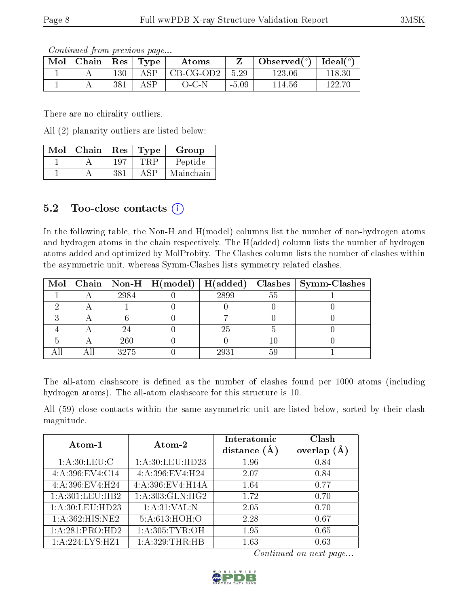Continued from previous page...

| Mol | Chain | Res | Type | Atoms     |         | Observed $(°)$ | Ideal $(^\circ)$ |
|-----|-------|-----|------|-----------|---------|----------------|------------------|
|     |       | 130 | A SP | CB-CG-OD2 | 5.29    | 123.06         |                  |
|     |       | 381 | ASP  | $O-C-N$   | $-5.09$ | 14.56          | 199.ZC           |

There are no chirality outliers.

All (2) planarity outliers are listed below:

| Mol | Chain | Res  | 'Type | Group     |
|-----|-------|------|-------|-----------|
|     |       | 197  |       | Peptide   |
|     |       | 38 i | ASP   | Mainchain |

### 5.2 Too-close contacts (i)

In the following table, the Non-H and H(model) columns list the number of non-hydrogen atoms and hydrogen atoms in the chain respectively. The H(added) column lists the number of hydrogen atoms added and optimized by MolProbity. The Clashes column lists the number of clashes within the asymmetric unit, whereas Symm-Clashes lists symmetry related clashes.

|  |      |      |    | Mol   Chain   Non-H   H(model)   H(added)   Clashes   Symm-Clashes |
|--|------|------|----|--------------------------------------------------------------------|
|  | 2984 | 2899 | 55 |                                                                    |
|  |      |      |    |                                                                    |
|  |      |      |    |                                                                    |
|  |      | 25   |    |                                                                    |
|  | 260  |      |    |                                                                    |
|  | 3275 | 2931 |    |                                                                    |

The all-atom clashscore is defined as the number of clashes found per 1000 atoms (including hydrogen atoms). The all-atom clashscore for this structure is 10.

All (59) close contacts within the same asymmetric unit are listed below, sorted by their clash magnitude.

|                    | Atom-2             | Interatomic    | Clash   |
|--------------------|--------------------|----------------|---------|
| Atom-1             |                    | distance $(A)$ | overlap |
| 1: A:30:LEU:C      | 1: A:30: LEU:HD23  | 1.96           | 0.84    |
| 4: A:396: EV4: C14 | 4:A:396:EV4:H24    | 2.07           | 0.84    |
| 4:A:396:EV4:H24    | 4:A:396:EV4:H14A   | 1.64           | 0.77    |
| 1: A:301:LEU:HB2   | 1: A:303: GLN: HG2 | 1.72           | 0.70    |
| 1: A:30: LEU:HD23  | 1: A:31: VAL:N     | 2.05           | 0.70    |
| 1: A:362: HIS: NE2 | 5:A:613:HOH:O      | 2.28           | 0.67    |
| 1:A:281:PRO:HD2    | 1: A: 305: TYR: OH | 1.95           | 0.65    |
| 1:A:224:LYS:HZ1    | 1: A:329:THR:HB    | 1.63           | 0.63    |

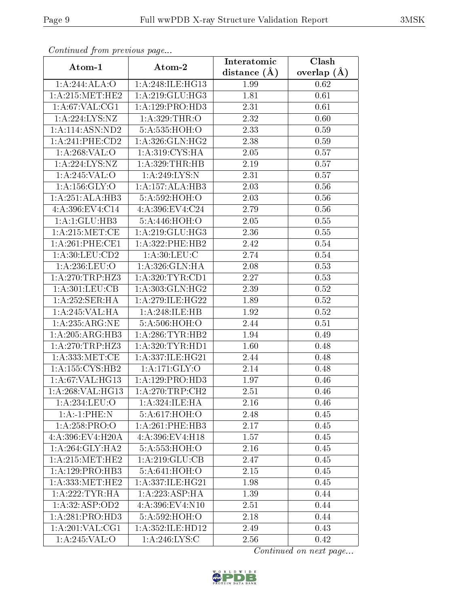| Continuation providuo puga   |                             | Interatomic       | Clash           |
|------------------------------|-----------------------------|-------------------|-----------------|
| Atom-1                       | Atom-2                      | distance $(\AA)$  | overlap $(\AA)$ |
| 1:A:244:ALA:O                | 1:A:248:ILE:HG13            | 1.99              | 0.62            |
| 1: A:215:MET:HE2             | 1: A:219: GLU: HG3          | 1.81              | 0.61            |
| 1: A:67: VAL:CG1             | 1:A:129:PRO:H <sub>D3</sub> | 2.31              | 0.61            |
| 1:A:224:LYS:NZ               | 1:A:329:THR:O               | 2.32              | 0.60            |
| 1:A:114:ASN:ND2              | 5:A:535:HOH:O               | 2.33              | 0.59            |
| 1:A:241:PHE:CD2              | 1: A:326: GLN: HG2          | 2.38              | 0.59            |
| 1: A:268: VAL:O              | 1: A:319: CYS: HA           | 2.05              | 0.57            |
| 1:A:224:LYS:NZ               | 1: A:329:THR:HB             | 2.19              | 0.57            |
| 1:A:245:VAL:O                | 1:A:249:LYS:N               | $\overline{2.31}$ | 0.57            |
| 1:A:156:GLY:O                | 1:A:157:ALA:HB3             | 2.03              | 0.56            |
| 1:A:251:ALA:HB3              | 5:A:592:HOH:O               | 2.03              | 0.56            |
| 4:A:396:EV4:C14              | 4:A:396:EV4:C24             | 2.79              | 0.56            |
| 1:A:1:GLU:HB3                | 5:A:446:HOH:O               | 2.05              | 0.55            |
| 1: A:215: MET:CE             | 1: A:219: GLU: HG3          | 2.36              | 0.55            |
| 1: A:261:PHE:CE1             | 1:A:322:PHE:HB2             | 2.42              | 0.54            |
| 1: A:30:LEU:CD2              | 1: A:30: LEU: C             | 2.74              | 0.54            |
| 1: A:236:LEU:O               | 1:A:326:GLN:HA              | 2.08              | 0.53            |
| 1: A:270:TRP:HZ3             | 1: A:320: TYR: CD1          | 2.27              | 0.53            |
| 1: A:301:LEU:CB              | 1: A:303: GLN: HG2          | 2.39              | 0.52            |
| 1:A:252:SER:HA               | 1:A:279:ILE:HG22            | 1.89              | 0.52            |
| 1:A:245:VAL:HA               | 1:A:248:ILE:HB              | 1.92              | 0.52            |
| 1: A:235:ARG:NE              | 5:A:506:HOH:O               | 2.44              | 0.51            |
| 1: A:205: ARG:HB3            | 1: A:286:TYR:HB2            | 1.94              | 0.49            |
| 1: A:270:TRP:HZ3             | 1: A:320: TYR: HD1          | 1.60              | 0.48            |
| 1: A: 333: MET:CE            | 1: A: 337: ILE: HG21        | 2.44              | 0.48            |
| 1:A:155:CYS:HB2              | 1: A:171: GLY:O             | 2.14              | 0.48            |
| 1: A:67: VAL:HG13            | 1:A:129:PRO:HD3             | 1.97              | 0.46            |
| 1:A:268:VAL:H <sub>G13</sub> | 1:A:270:TRP:CH2             | 2.51              | 0.46            |
| 1:A:234:LEU:O                | 1:A:324:ILE:HA              | 2.16              | 0.46            |
| 1:A:1:PHE:N                  | 5:A:617:HOH:O               | 2.48              | 0.45            |
| 1:A:258:PRO:O                | 1:A:261:PHE:HB3             | 2.17              | 0.45            |
| 4: A:396: EV4: H20A          | 4:A:396:EV4:H18             | 1.57              | 0.45            |
| 1: A:264: GLY:HA2            | 5:A:553:HOH:O               | 2.16              | 0.45            |
| 1: A:215:MET:HE2             | 1: A:219: GLU:CB            | 2.47              | 0.45            |
| 1: A: 129: PRO: HB3          | 5:A:641:HOH:O               | 2.15              | 0.45            |
| 1: A: 333:MET:HE2            | 1: A: 337: ILE: HG21        | 1.98              | 0.45            |
| 1: A:222:TYR:HA              | 1:A:223:ASP:HA              | 1.39              | 0.44            |
| 1:A:32:ASP:OD2               | 4:A:396:EV4:N10             | 2.51              | 0.44            |
| 1:A:281:PRO:HD3              | 5:A:592:HOH:O               | 2.18              | 0.44            |
| 1: A:201:VAL:CG1             | 1: A: 352: ILE: HD12        | 2.49              | 0.43            |
| 1:A:245:VAL:O                | 1: A:246:LYS:C              | 2.56              | 0.42            |

Continued from previous page.

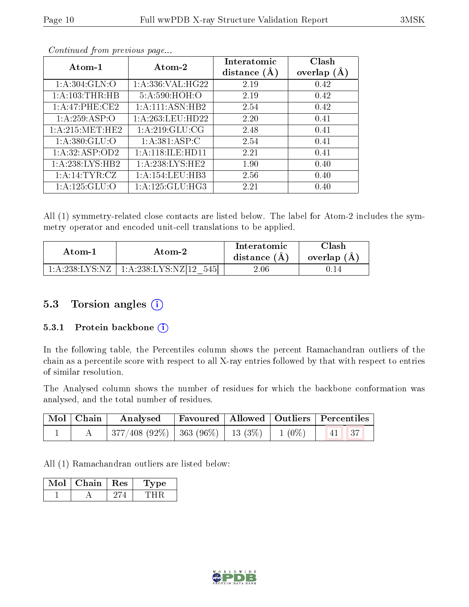|--|

| Atom-1             | Atom-2              | Interatomic<br>distance $(A)$ | Clash<br>overlap $(A)$ |
|--------------------|---------------------|-------------------------------|------------------------|
| 1: A:304: GLN:O    | 1: A:336: VAL:HG22  | 2.19                          | 0.42                   |
| 1: A:103:THR:HB    | 5:A:590:HOH:O       | 2.19                          | 0.42                   |
| 1:A:47:PHE:CE2     | 1:A:111:ASN:HB2     | 2.54                          | 0.42                   |
| 1:A:259:ASP:O      | 1:A:263:LEU:HD22    | 2.20                          | 0.41                   |
| 1: A:215: MET:HE2  | 1: A:219: GLU:CG    | 2.48                          | 0.41                   |
| 1: A:380: GLU:O    | 1: A:381: ASP:C     | 2.54                          | 0.41                   |
| 1:A:32:ASP:OD2     | 1: A:118: ILE: HD11 | 2.21                          | 0.41                   |
| 1: A:238: LYS: HB2 | 1: A:238:LYS:HE2    | 1.90                          | 0.40                   |
| 1: A:14:TYR:CZ     | 1:A:154:LEU:HB3     | 2.56                          | 0.40                   |
| 1:A:125:GLU:O      | 1: A: 125: GLU: HG3 | 2.21                          | 0.40                   |

Continued from previous page...

All (1) symmetry-related close contacts are listed below. The label for Atom-2 includes the symmetry operator and encoded unit-cell translations to be applied.

| Atom-1                    | Atom-2                     | Interatomic<br>distance $(A)$ | $\cap$ lash<br>overlap $(A)$ |
|---------------------------|----------------------------|-------------------------------|------------------------------|
| $1:$ A:238:LYS:NZ $\perp$ | 1:4:238:LYS:NZ[12]<br>545L | 2.06-                         |                              |

### 5.3 Torsion angles  $(i)$

#### 5.3.1 Protein backbone (i)

In the following table, the Percentiles column shows the percent Ramachandran outliers of the chain as a percentile score with respect to all X-ray entries followed by that with respect to entries of similar resolution.

The Analysed column shows the number of residues for which the backbone conformation was analysed, and the total number of residues.

| $\vert$ Mol $\vert$ Chain $\vert$ | Analysed Favoured   Allowed   Outliers   Percentiles          |  |  |
|-----------------------------------|---------------------------------------------------------------|--|--|
|                                   | $\mid$ 377/408 (92%)   363 (96%)   13 (3%)   1 (0%)   41   37 |  |  |

All (1) Ramachandran outliers are listed below:

| Chain | ,Res: | vpe |
|-------|-------|-----|
|       |       |     |

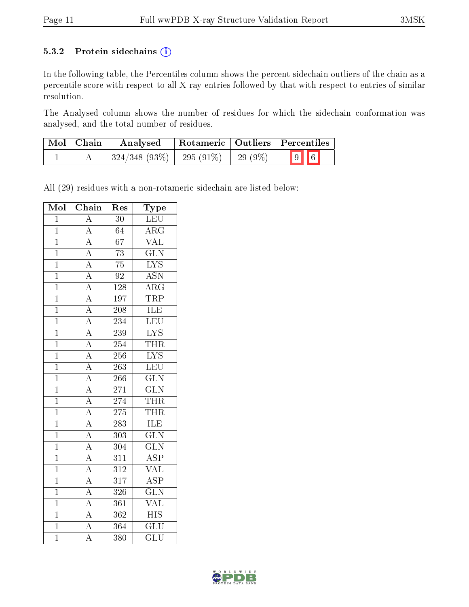#### 5.3.2 Protein sidechains (i)

In the following table, the Percentiles column shows the percent sidechain outliers of the chain as a percentile score with respect to all X-ray entries followed by that with respect to entries of similar resolution.

The Analysed column shows the number of residues for which the sidechain conformation was analysed, and the total number of residues.

| Mol   Chain | Analysed     |                           |         | Rotameric   Outliers   Percentiles |  |
|-------------|--------------|---------------------------|---------|------------------------------------|--|
|             | 324/348(93%) | $\vert$ 295 (91%) $\vert$ | 29 (9%) | $\boxed{9}$ $\boxed{6}$            |  |

All (29) residues with a non-rotameric sidechain are listed below:

| Mol            | Chain                                                                                                                                                                                                                   | $\operatorname{Res}% \left( \mathcal{N}\right) \equiv\operatorname{Res}(\mathcal{N}_{0})\left( \mathcal{N}_{0}\right) ^{2}$ | Type                      |
|----------------|-------------------------------------------------------------------------------------------------------------------------------------------------------------------------------------------------------------------------|-----------------------------------------------------------------------------------------------------------------------------|---------------------------|
| $\overline{1}$ | $\overline{\rm A}$                                                                                                                                                                                                      | $\overline{30}$                                                                                                             | LEU                       |
| $\overline{1}$ |                                                                                                                                                                                                                         | $\overline{64}$                                                                                                             | $\overline{\rm{ARG}}$     |
| $\overline{1}$ |                                                                                                                                                                                                                         | $\overline{67}$                                                                                                             | $\overline{\text{VAL}}$   |
| $\mathbf{1}$   |                                                                                                                                                                                                                         | $\overline{73}$                                                                                                             | $\overline{\text{GLN}}$   |
| $\overline{1}$ | $\frac{\overline{A}}{\overline{A}}$ $\frac{\overline{A}}{\overline{A}}$ $\frac{\overline{A}}{\overline{A}}$                                                                                                             | $\overline{75}$                                                                                                             | $\overline{\text{LYS}}$   |
| $\overline{1}$ |                                                                                                                                                                                                                         | $\overline{92}$                                                                                                             | <b>ASN</b>                |
| $\overline{1}$ |                                                                                                                                                                                                                         | $\overline{128}$                                                                                                            | $\overline{\rm{ARG}}$     |
| $\mathbf 1$    | $\frac{\overline{A}}{A}$                                                                                                                                                                                                | 197                                                                                                                         | TRP                       |
| $\mathbf 1$    |                                                                                                                                                                                                                         | 208                                                                                                                         | $\overline{\text{ILE}}$   |
| $\overline{1}$ | $\frac{\overline{A}}{\overline{A}}$ $\frac{\overline{A}}{\overline{A}}$                                                                                                                                                 | 234                                                                                                                         | LEU                       |
| $\overline{1}$ |                                                                                                                                                                                                                         | 239                                                                                                                         | $\overline{\text{LYS}}$   |
| $\overline{1}$ |                                                                                                                                                                                                                         | 254                                                                                                                         | <b>THR</b>                |
| $\mathbf{1}$   |                                                                                                                                                                                                                         | 256                                                                                                                         | $\overline{\text{LYS}}$   |
| $\overline{1}$ |                                                                                                                                                                                                                         | $\overline{263}$                                                                                                            | $\overline{\text{LEU}}$   |
| $\mathbf{1}$   | $\frac{\overline{A}}{\overline{A}}$ $\frac{\overline{A}}{\overline{A}}$ $\frac{\overline{A}}{\overline{A}}$ $\frac{\overline{A}}{\overline{A}}$ $\frac{\overline{A}}{\overline{A}}$ $\frac{\overline{A}}{\overline{A}}$ | $\overline{266}$                                                                                                            | $\overline{\text{GLN}}$   |
| $\overline{1}$ |                                                                                                                                                                                                                         | $271\,$                                                                                                                     | $\overline{\text{GLN}}$   |
| $\overline{1}$ |                                                                                                                                                                                                                         | 274                                                                                                                         | <b>THR</b>                |
| $\overline{1}$ |                                                                                                                                                                                                                         | $275\,$                                                                                                                     | <b>THR</b>                |
| $\overline{1}$ |                                                                                                                                                                                                                         | $\overline{283}$                                                                                                            | <b>ILE</b>                |
| $\overline{1}$ |                                                                                                                                                                                                                         | 303                                                                                                                         | $\overline{\text{GLN}}$   |
| $\mathbf{1}$   |                                                                                                                                                                                                                         | 304                                                                                                                         | $\overline{\text{GLN}}$   |
| $\overline{1}$ |                                                                                                                                                                                                                         | $\overline{311}$                                                                                                            | $\overline{\text{ASP}}$   |
| $\mathbf{1}$   |                                                                                                                                                                                                                         | $\overline{312}$                                                                                                            | $\overline{\text{VAL}}$   |
| $\overline{1}$ |                                                                                                                                                                                                                         | $\overline{317}$                                                                                                            | $\overline{\text{ASP}}$   |
| $\mathbf{1}$   | $\frac{\overline{A}}{\overline{A}}$ $\frac{\overline{A}}{\overline{A}}$                                                                                                                                                 | 326                                                                                                                         | $\overline{\text{GLN}}$   |
| $\mathbf{1}$   |                                                                                                                                                                                                                         | $\overline{361}$                                                                                                            | $\overline{\text{VAL}}$   |
| $\mathbf{1}$   |                                                                                                                                                                                                                         | 362                                                                                                                         | $\overline{HIS}$          |
| $\mathbf{1}$   |                                                                                                                                                                                                                         | 364                                                                                                                         | $\overline{\mathrm{GLU}}$ |
| $\overline{1}$ | $\overline{A}$                                                                                                                                                                                                          | 380                                                                                                                         | $\overline{\text{GLU}}$   |

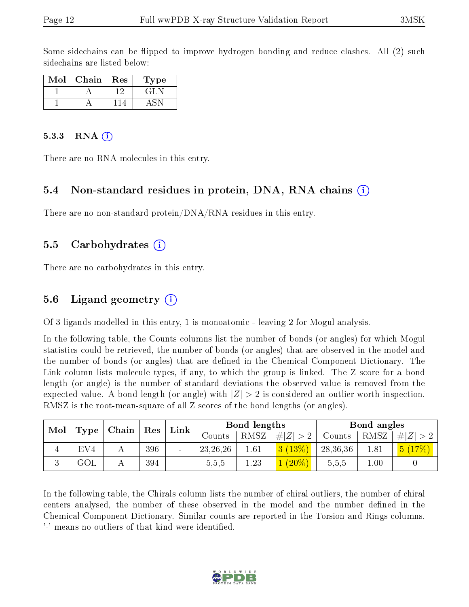Some sidechains can be flipped to improve hydrogen bonding and reduce clashes. All (2) such sidechains are listed below:

| Mol | Chain | Res | L'ype |
|-----|-------|-----|-------|
|     |       |     | GH.   |
|     |       |     |       |

#### 5.3.3 RNA  $(i)$

There are no RNA molecules in this entry.

#### 5.4 Non-standard residues in protein, DNA, RNA chains (i)

There are no non-standard protein/DNA/RNA residues in this entry.

#### 5.5 Carbohydrates (i)

There are no carbohydrates in this entry.

#### 5.6 Ligand geometry (i)

Of 3 ligands modelled in this entry, 1 is monoatomic - leaving 2 for Mogul analysis.

In the following table, the Counts columns list the number of bonds (or angles) for which Mogul statistics could be retrieved, the number of bonds (or angles) that are observed in the model and the number of bonds (or angles) that are defined in the Chemical Component Dictionary. The Link column lists molecule types, if any, to which the group is linked. The Z score for a bond length (or angle) is the number of standard deviations the observed value is removed from the expected value. A bond length (or angle) with  $|Z| > 2$  is considered an outlier worth inspection. RMSZ is the root-mean-square of all Z scores of the bond lengths (or angles).

| Mol |                 | Chain | $^{\top}$ Res | Link                     |            | Bond lengths |          |          | Bond angles |        |
|-----|-----------------|-------|---------------|--------------------------|------------|--------------|----------|----------|-------------|--------|
|     | Type            |       |               |                          | Counts-    | RMSZ         | # Z      | Counts   | RMSZ        | # Z    |
|     | EV <sub>4</sub> |       | 396           | $\overline{\phantom{a}}$ | 23, 26, 26 | $1.61\,$     | 3(13%)   | 28,36,36 | 1.81        | 5(17%) |
|     | $\rm GOL$       |       | 394           |                          | 5,5,5      | 1.23         | $(20\%)$ | 5,5,5    | 0.01        |        |

In the following table, the Chirals column lists the number of chiral outliers, the number of chiral centers analysed, the number of these observed in the model and the number defined in the Chemical Component Dictionary. Similar counts are reported in the Torsion and Rings columns. '-' means no outliers of that kind were identified.

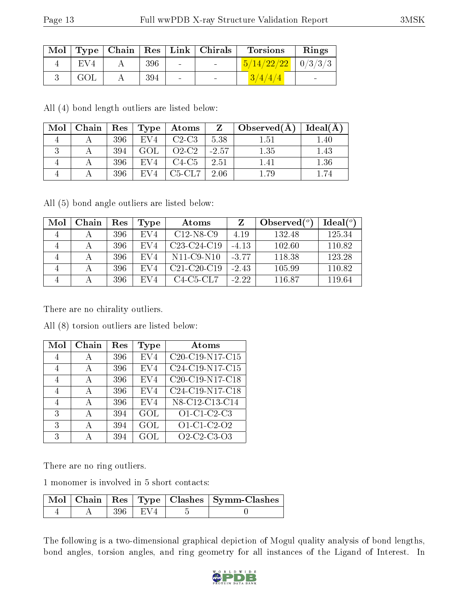|     |     |            | Mol   Type   Chain   Res   Link   Chirals | <b>Torsions</b>                | Rings |
|-----|-----|------------|-------------------------------------------|--------------------------------|-------|
| EV4 | 396 | $\sim 100$ | <b>Contract Contract</b>                  | $\frac{5}{14/22/22}$   0/3/3/3 |       |
| GOL | 394 | $\sim$     |                                           | (3/4/4/4)                      |       |

All (4) bond length outliers are listed below:

| Mol | Chain | $\operatorname{Res}$ | Type | $\boldsymbol{\mathrm{Atoms}}$ | Z       | $\mid$ Observed $(A)$ | Ideal(A) |
|-----|-------|----------------------|------|-------------------------------|---------|-----------------------|----------|
|     |       | 396                  | EV4  | $C2-C3$                       | 5.38    | 1.51                  | $1.40\,$ |
|     |       | 394                  | GOL  | $O2-C2$                       | $-2.57$ | 1.35                  | 1.43     |
|     |       | 396                  | EV4  | $C4-C5$                       | 2.51    | 1.41                  | 1.36     |
|     |       | 396                  | EV4  | $C5-CL7$                      | 2.06    |                       |          |

All (5) bond angle outliers are listed below:

| Mol | Chain | $\operatorname{Res}% \left( \mathcal{N}\right) \equiv\operatorname{Res}(\mathcal{N}_{0})\cap\mathcal{N}_{1}$ | Type            | Atoms                                             |         | Observed $(°)$ | Ideal <sup>(o)</sup> |
|-----|-------|--------------------------------------------------------------------------------------------------------------|-----------------|---------------------------------------------------|---------|----------------|----------------------|
|     |       | 396                                                                                                          | EV4             | $C12-N8-C9$                                       | 4.19    | 132.48         | 125.34               |
|     |       | 396                                                                                                          | EV4             | C <sub>23</sub> -C <sub>24</sub> -C <sub>19</sub> | $-4.13$ | 102.60         | 110.82               |
|     |       | 396                                                                                                          | EV4             | $N11-C9-N10$                                      | $-3.77$ | 118.38         | 123.28               |
|     |       | 396                                                                                                          | EV4             | $C21-C20-C19$                                     | $-2.43$ | 105.99         | 110.82               |
|     |       | 396                                                                                                          | EV <sub>4</sub> | $C4-C5-CL7$                                       | $-2.22$ | 116.87         | 119.64               |

There are no chirality outliers.

All (8) torsion outliers are listed below:

| Mol            | Chain | Res | Type            | Atoms                                                |
|----------------|-------|-----|-----------------|------------------------------------------------------|
| 4              | А     | 396 | EV <sub>4</sub> | $C20-C19-N17-C15$                                    |
| 4              | А     | 396 | EV <sub>4</sub> | C24-C19-N17-C15                                      |
| $\overline{4}$ | А     | 396 | EV <sub>4</sub> | $\overline{\text{C20-C19-N17-C18}}$                  |
| 4              | А     | 396 | EV <sub>4</sub> | C24-C19-N17-C18                                      |
| 4              | А     | 396 | EV <sub>4</sub> | N8-C12-C13-C14                                       |
| 3              | А     | 394 | GOL             | $O1$ -C <sub>1</sub> -C <sub>2</sub> -C <sub>3</sub> |
| 3              | А     | 394 | GOL             | $O1-C1-C2-O2$                                        |
| 3              |       | 394 | GOL             | Q2C2C3Q3                                             |

There are no ring outliers.

1 monomer is involved in 5 short contacts:

|  |            | $\sqrt{\text{Mol}}$   Chain   Res   Type   Clashes   Symm-Clashes |
|--|------------|-------------------------------------------------------------------|
|  | - 396 LEV4 |                                                                   |

The following is a two-dimensional graphical depiction of Mogul quality analysis of bond lengths, bond angles, torsion angles, and ring geometry for all instances of the Ligand of Interest. In

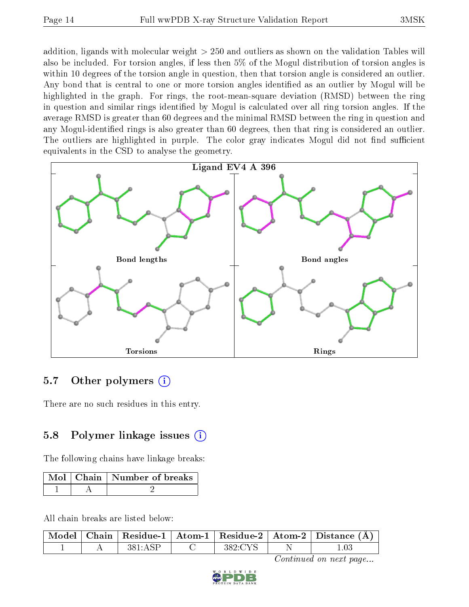addition, ligands with molecular weight > 250 and outliers as shown on the validation Tables will also be included. For torsion angles, if less then 5% of the Mogul distribution of torsion angles is within 10 degrees of the torsion angle in question, then that torsion angle is considered an outlier. Any bond that is central to one or more torsion angles identified as an outlier by Mogul will be highlighted in the graph. For rings, the root-mean-square deviation (RMSD) between the ring in question and similar rings identified by Mogul is calculated over all ring torsion angles. If the average RMSD is greater than 60 degrees and the minimal RMSD between the ring in question and any Mogul-identied rings is also greater than 60 degrees, then that ring is considered an outlier. The outliers are highlighted in purple. The color gray indicates Mogul did not find sufficient equivalents in the CSD to analyse the geometry.



### 5.7 [O](https://www.wwpdb.org/validation/2017/XrayValidationReportHelp#nonstandard_residues_and_ligands)ther polymers (i)

There are no such residues in this entry.

### 5.8 Polymer linkage issues  $(i)$

The following chains have linkage breaks:

|  | Mol   Chain   Number of breaks |
|--|--------------------------------|
|  |                                |

All chain breaks are listed below:

|  |  |       | Model   Chain   Residue-1   Atom-1   Residue-2   Atom-2   Distance (Å) |
|--|--|-------|------------------------------------------------------------------------|
|  |  | 389.C |                                                                        |

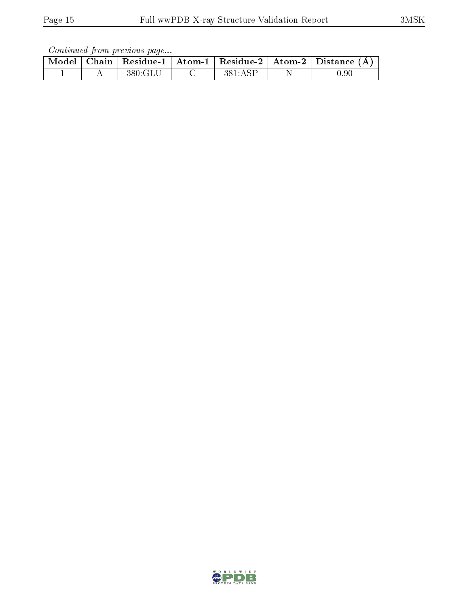Continued from previous page...

| Model |  | $\vert$ Chain   Residue-1   Atom-1   Residue-2   Atom-2   Distance | (A)      |
|-------|--|--------------------------------------------------------------------|----------|
|       |  |                                                                    | $0.90\,$ |

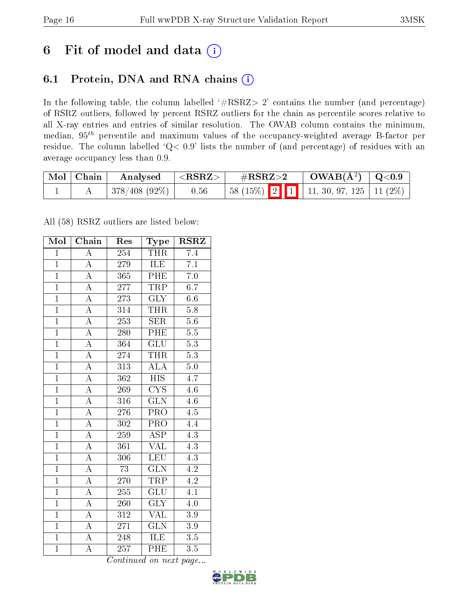# 6 Fit of model and data  $(i)$

## 6.1 Protein, DNA and RNA chains  $(i)$

In the following table, the column labelled  $#RSRZ> 2'$  contains the number (and percentage) of RSRZ outliers, followed by percent RSRZ outliers for the chain as percentile scores relative to all X-ray entries and entries of similar resolution. The OWAB column contains the minimum, median,  $95<sup>th</sup>$  percentile and maximum values of the occupancy-weighted average B-factor per residue. The column labelled ' $Q< 0.9$ ' lists the number of (and percentage) of residues with an average occupancy less than 0.9.

| $\mid$ Mol $\mid$ Chain | Analysed                  | $ \langle \mathrm{RSRZ}\rangle $ | $\rm \#RSRZ{>}2$                             | $\vert$ OWAB( $\rm \AA^2)$ $\vert$ Q<0.9 |  |
|-------------------------|---------------------------|----------------------------------|----------------------------------------------|------------------------------------------|--|
|                         | $\pm$ 378/408 (92%) $\pm$ | 0.56                             | 58 (15%)   2   1   11, 30, 97, 125   11 (2%) |                                          |  |

All (58) RSRZ outliers are listed below:

| Mol            | Chain              | Res              | Type                    | <b>RSRZ</b>      |  |
|----------------|--------------------|------------------|-------------------------|------------------|--|
| $\mathbf{1}$   | $\overline{\rm A}$ | 254              | <b>THR</b>              | 7.4              |  |
| $\mathbf{1}$   | $\overline{A}$     | 279              | <b>ILE</b>              | $\overline{7.1}$ |  |
| $\overline{1}$ | $\overline{A}$     | 365              | <b>PHE</b>              | $\overline{7.0}$ |  |
| $\overline{1}$ | $\overline{\rm A}$ | 277              | <b>TRP</b>              | 6.7              |  |
| $\overline{1}$ | $\overline{\rm A}$ | $\overline{273}$ | $\overline{\text{GLY}}$ | 6.6              |  |
| $\overline{1}$ | $\overline{A}$     | $\overline{314}$ | <b>THR</b>              | 5.8              |  |
| $\overline{1}$ | $\overline{A}$     | 253              | <b>SER</b>              | 5.6              |  |
| $\overline{1}$ | $\overline{A}$     | 280              | PHE                     | $\overline{5.5}$ |  |
| $\mathbf{1}$   | $\overline{A}$     | $\overline{364}$ | $\overline{\text{GLU}}$ | $\overline{5.3}$ |  |
| $\overline{1}$ | $\overline{A}$     | 274              | <b>THR</b>              | $\overline{5.3}$ |  |
| $\overline{1}$ | $\overline{A}$     | 313              | $\overline{\rm ALA}$    | $\overline{5.0}$ |  |
| $\overline{1}$ | $\overline{A}$     | $\overline{362}$ | $\overline{HIS}$        | $\overline{4.7}$ |  |
| $\overline{1}$ | $\overline{A}$     | 269              | <b>CYS</b>              | 4.6              |  |
| $\overline{1}$ | $\overline{\rm A}$ | $\overline{316}$ | $\overline{\text{GLN}}$ | 4.6              |  |
| $\overline{1}$ | $\overline{A}$     | 276              | $\overline{\text{PRO}}$ | 4.5              |  |
| $\mathbf{1}$   | $\overline{A}$     | 302              | $\overline{\text{PRO}}$ | 4.4              |  |
| $\overline{1}$ | $\overline{A}$     | 259              | $\overline{\text{ASP}}$ | $\overline{4.3}$ |  |
| $\overline{1}$ | $\overline{\rm A}$ | 361              | VAL                     | 4.3              |  |
| $\overline{1}$ | $\overline{A}$     | 306              | <b>LEU</b>              | $\overline{4.3}$ |  |
| $\overline{1}$ | $\overline{A}$     | $\overline{73}$  | $\overline{\text{GLN}}$ | 4.2              |  |
| $\overline{1}$ | $\overline{\rm A}$ | 270              | <b>TRP</b>              | $4.\overline{2}$ |  |
| $\overline{1}$ | $\overline{A}$     | 255              | $\overline{\text{GLU}}$ | $\overline{4.1}$ |  |
| $\mathbf{1}$   | $\overline{A}$     | $\overline{260}$ | $\overline{\text{GLY}}$ | 4.0              |  |
| $\overline{1}$ | $\overline{\rm A}$ | $\overline{312}$ | $\overline{\text{VAL}}$ | $\overline{3.9}$ |  |
| $\overline{1}$ | $\overline{\rm A}$ | 271              | <b>GLN</b>              | $3.9\,$          |  |
| $\overline{1}$ | $\overline{\rm A}$ | $\overline{248}$ | ILE                     | 3.5              |  |
| $\overline{1}$ | $\overline{\rm A}$ | $\overline{257}$ | PHE                     | 3.5              |  |

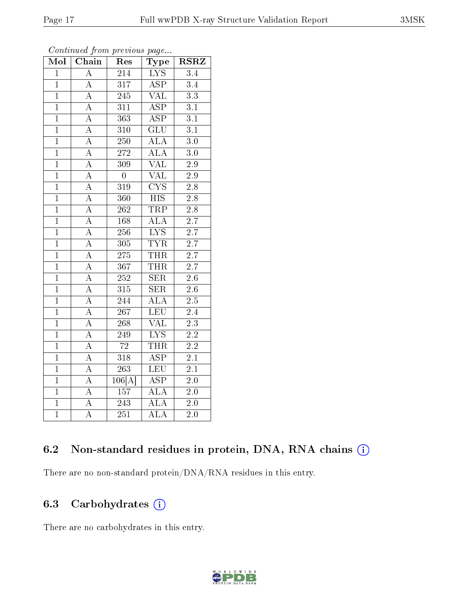| Mol            | $\overline{\text{Chain}}$ | Res              | Type                    | <b>RSRZ</b>      |  |
|----------------|---------------------------|------------------|-------------------------|------------------|--|
| $\overline{1}$ | $\overline{\rm A}$        | $\overline{214}$ | <b>LYS</b>              | $\overline{3.4}$ |  |
| $\mathbf{1}$   | $\overline{A}$            | 317              | $\overline{\text{ASP}}$ | 3.4              |  |
| $\overline{1}$ | $\overline{A}$            | $2\overline{45}$ | $\overline{\text{VAL}}$ | $\overline{3.3}$ |  |
| $\overline{1}$ | $\overline{A}$            | $\overline{311}$ | $\overline{\text{ASP}}$ | $\overline{3.1}$ |  |
| $\overline{1}$ | $\overline{A}$            | $\overline{363}$ | $\overline{\rm ASP}$    | $\overline{3.1}$ |  |
| $\mathbf{1}$   | $\overline{A}$            | 310              | $\overline{\text{GLU}}$ | $\overline{3.1}$ |  |
| $\overline{1}$ | $\overline{A}$            | $\overline{250}$ | <b>ALA</b>              | $\overline{3.0}$ |  |
| $\overline{1}$ | $\overline{A}$            | 272              | $\overline{ALA}$        | 3.0              |  |
| $\overline{1}$ | $\overline{A}$            | $\overline{309}$ | <b>VAL</b>              | $\overline{2.9}$ |  |
| $\overline{1}$ | $\overline{A}$            | $\overline{0}$   | $\overline{\text{VAL}}$ | $\overline{2.9}$ |  |
| $\overline{1}$ | $\overline{A}$            | 319              | $\overline{\text{CYS}}$ | $\overline{2.8}$ |  |
| $\overline{1}$ | $\overline{\rm A}$        | $\overline{360}$ | $\overline{HIS}$        | $\overline{2.8}$ |  |
| $\overline{1}$ | $\overline{A}$            | 262              | <b>TRP</b>              | $\overline{2.8}$ |  |
| $\overline{1}$ | $\overline{A}$            | 168              | <b>ALA</b>              | 2.7              |  |
| $\overline{1}$ | $\overline{A}$            | 256              | $\overline{\text{LYS}}$ | $\overline{2.7}$ |  |
| $\overline{1}$ | $\overline{A}$            | 305              | <b>TYR</b>              | $\overline{2.7}$ |  |
| $\overline{1}$ | $\overline{A}$            | $\overline{275}$ | <b>THR</b>              | $\overline{2.7}$ |  |
| $\overline{1}$ | $\overline{A}$            | $\overline{367}$ | <b>THR</b>              | $\overline{2.7}$ |  |
| $\overline{1}$ | $\overline{A}$            | $\overline{252}$ | $\overline{\text{SER}}$ | $\overline{2.6}$ |  |
| $\overline{1}$ | $\overline{A}$            | $\overline{315}$ | $\overline{\text{SER}}$ | $\overline{2.6}$ |  |
| $\mathbf{1}$   | $\overline{A}$            | 244              | <b>ALA</b>              | $2.5\,$          |  |
| $\overline{1}$ | $\overline{\rm A}$        | 267              | <b>LEU</b>              | $\overline{2.4}$ |  |
| $\overline{1}$ | $\overline{\rm A}$        | 268              | <b>VAL</b>              | $\overline{2.3}$ |  |
| $\overline{1}$ | $\overline{A}$            | 249              | $\overline{\text{LYS}}$ | $\overline{2.2}$ |  |
| $\overline{1}$ | $\overline{A}$            | $\overline{72}$  | <b>THR</b>              | $\overline{2.2}$ |  |
| $\overline{1}$ | $\overline{A}$            | $\overline{318}$ | $\overline{\text{ASP}}$ | $2\overline{.1}$ |  |
| $\overline{1}$ | $\overline{A}$            | $\overline{263}$ | $\overline{\text{LEU}}$ | $\overline{2.1}$ |  |
| $\overline{1}$ | $\overline{A}$            | 106[A]           | <b>ASP</b>              | $\overline{2.0}$ |  |
| $\overline{1}$ | $\overline{A}$            | 157              | $\overline{\rm ALA}$    | $\overline{2.0}$ |  |
| $\overline{1}$ | $\boldsymbol{A}$          | 243              | <b>ALA</b>              | $\overline{2.0}$ |  |
| $\overline{1}$ | $\overline{\rm A}$        | $\overline{251}$ | $\overline{\rm ALA}$    | $\overline{2.0}$ |  |

Continued from previous page...

### 6.2 Non-standard residues in protein, DNA, RNA chains (i)

There are no non-standard protein/DNA/RNA residues in this entry.

### 6.3 Carbohydrates (i)

There are no carbohydrates in this entry.

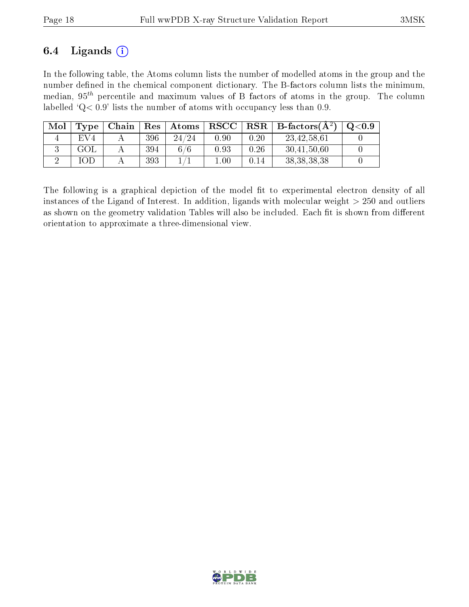### 6.4 Ligands  $(i)$

In the following table, the Atoms column lists the number of modelled atoms in the group and the number defined in the chemical component dictionary. The B-factors column lists the minimum, median,  $95<sup>th</sup>$  percentile and maximum values of B factors of atoms in the group. The column labelled ' $Q< 0.9$ ' lists the number of atoms with occupancy less than 0.9.

| Mol | Type            | Chain | $\operatorname{Res}$ | $\vert$ Atoms | $\mid$ RSCC $\mid$ |          | $\vert$ RSR $\vert$ B-factors( $\rm \AA^2$ ) | $\mathrm{O}{<}0.9$ |
|-----|-----------------|-------|----------------------|---------------|--------------------|----------|----------------------------------------------|--------------------|
|     | EV <sub>4</sub> |       | 396                  | 24/24         | 0.90               | 0.20     | 23,42,58,61                                  |                    |
|     |                 |       | 394                  | 6/6           | 0.93               | 0.26     | 30,41,50,60                                  |                    |
|     | OЕ              |       | 393                  |               | $1.00\,$           | $0.14\,$ | 38, 38, 38, 38                               |                    |

The following is a graphical depiction of the model fit to experimental electron density of all instances of the Ligand of Interest. In addition, ligands with molecular weight  $> 250$  and outliers as shown on the geometry validation Tables will also be included. Each fit is shown from different orientation to approximate a three-dimensional view.